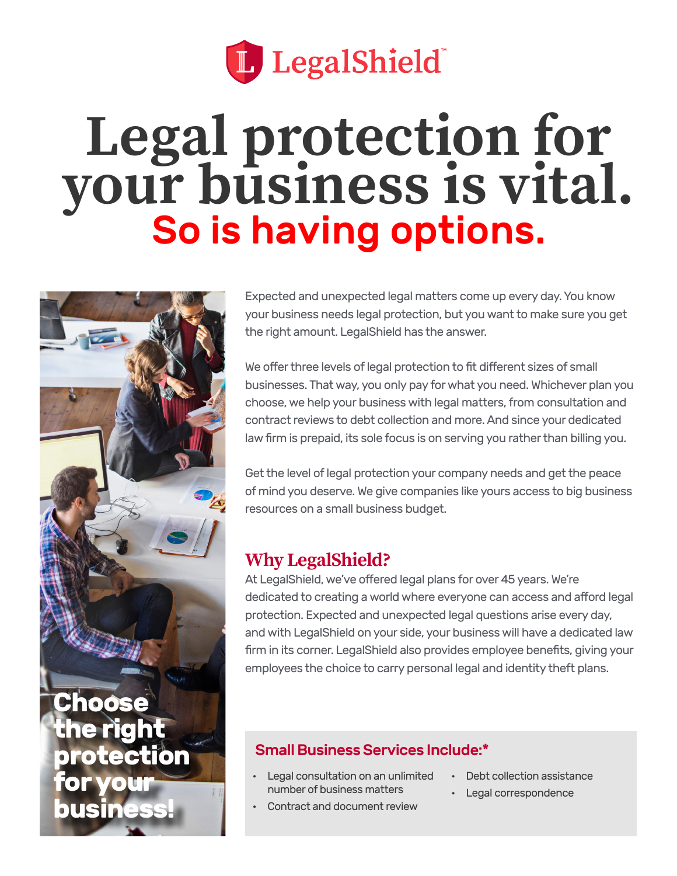

# **Legal protection for your business is vital.**<br>So is having options.



Expected and unexpected legal matters come up every day. You know your business needs legal protection, but you want to make sure you get the right amount. LegalShield has the answer.

We offer three levels of legal protection to fit different sizes of small businesses. That way, you only pay for what you need. Whichever plan you choose, we help your business with legal matters, from consultation and contract reviews to debt collection and more. And since your dedicated law firm is prepaid, its sole focus is on serving you rather than billing you.

Get the level of legal protection your company needs and get the peace of mind you deserve. We give companies like yours access to big business resources on a small business budget.

## **Why LegalShield?**

At LegalShield, we've offered legal plans for over 45 years. We're dedicated to creating a world where everyone can access and afford legal protection. Expected and unexpected legal questions arise every day, and with LegalShield on your side, your business will have a dedicated law firm in its corner. LegalShield also provides employee benefits, giving your employees the choice to carry personal legal and identity theft plans.

## Small Business Services Include:\*

- Legal consultation on an unlimited number of business matters
- Debt collection assistance
- Legal correspondence
- Contract and document review